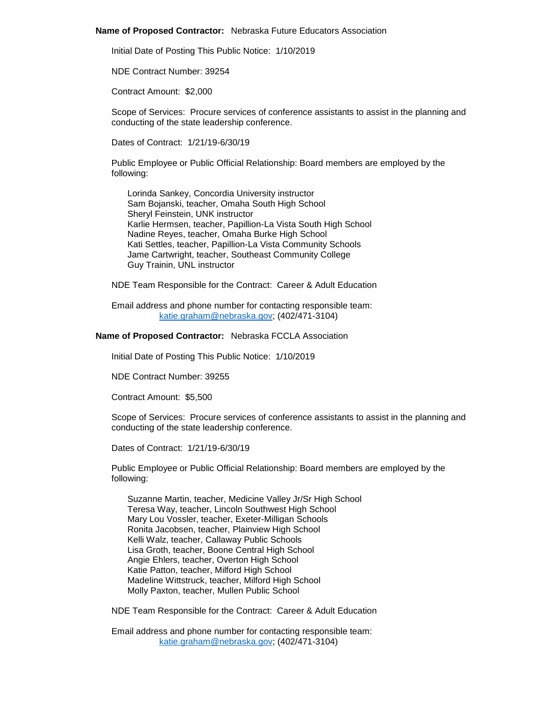### **Name of Proposed Contractor:** Nebraska Future Educators Association

Initial Date of Posting This Public Notice: 1/10/2019

NDE Contract Number: 39254

Contract Amount: \$2,000

Scope of Services: Procure services of conference assistants to assist in the planning and conducting of the state leadership conference.

Dates of Contract: 1/21/19-6/30/19

Public Employee or Public Official Relationship: Board members are employed by the following:

Lorinda Sankey, Concordia University instructor Sam Bojanski, teacher, Omaha South High School Sheryl Feinstein, UNK instructor Karlie Hermsen, teacher, Papillion-La Vista South High School Nadine Reyes, teacher, Omaha Burke High School Kati Settles, teacher, Papillion-La Vista Community Schools Jame Cartwright, teacher, Southeast Community College Guy Trainin, UNL instructor

NDE Team Responsible for the Contract: Career & Adult Education

Email address and phone number for contacting responsible team: [katie.graham@nebraska.gov;](mailto:katie.graham@nebraska.gov) (402/471-3104)

### **Name of Proposed Contractor:** Nebraska FCCLA Association

Initial Date of Posting This Public Notice: 1/10/2019

NDE Contract Number: 39255

Contract Amount: \$5,500

Scope of Services: Procure services of conference assistants to assist in the planning and conducting of the state leadership conference.

Dates of Contract: 1/21/19-6/30/19

Public Employee or Public Official Relationship: Board members are employed by the following:

Suzanne Martin, teacher, Medicine Valley Jr/Sr High School Teresa Way, teacher, Lincoln Southwest High School Mary Lou Vossler, teacher, Exeter-Milligan Schools Ronita Jacobsen, teacher, Plainview High School Kelli Walz, teacher, Callaway Public Schools Lisa Groth, teacher, Boone Central High School Angie Ehlers, teacher, Overton High School Katie Patton, teacher, Milford High School Madeline Wittstruck, teacher, Milford High School Molly Paxton, teacher, Mullen Public School

NDE Team Responsible for the Contract: Career & Adult Education

Email address and phone number for contacting responsible team: [katie.graham@nebraska.gov;](mailto:katie.graham@nebraska.gov) (402/471-3104)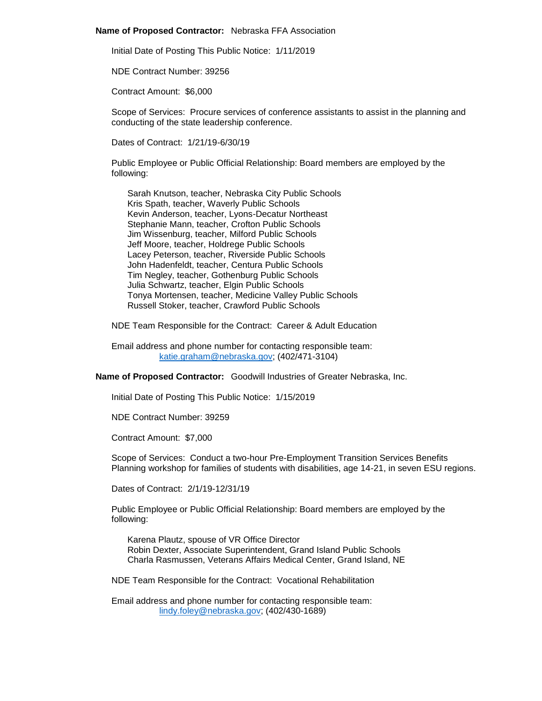#### **Name of Proposed Contractor:** Nebraska FFA Association

Initial Date of Posting This Public Notice: 1/11/2019

NDE Contract Number: 39256

Contract Amount: \$6,000

Scope of Services: Procure services of conference assistants to assist in the planning and conducting of the state leadership conference.

Dates of Contract: 1/21/19-6/30/19

Public Employee or Public Official Relationship: Board members are employed by the following:

Sarah Knutson, teacher, Nebraska City Public Schools Kris Spath, teacher, Waverly Public Schools Kevin Anderson, teacher, Lyons-Decatur Northeast Stephanie Mann, teacher, Crofton Public Schools Jim Wissenburg, teacher, Milford Public Schools Jeff Moore, teacher, Holdrege Public Schools Lacey Peterson, teacher, Riverside Public Schools John Hadenfeldt, teacher, Centura Public Schools Tim Negley, teacher, Gothenburg Public Schools Julia Schwartz, teacher, Elgin Public Schools Tonya Mortensen, teacher, Medicine Valley Public Schools Russell Stoker, teacher, Crawford Public Schools

NDE Team Responsible for the Contract: Career & Adult Education

Email address and phone number for contacting responsible team: [katie.graham@nebraska.gov;](mailto:katie.graham@nebraska.gov) (402/471-3104)

**Name of Proposed Contractor:** Goodwill Industries of Greater Nebraska, Inc.

Initial Date of Posting This Public Notice: 1/15/2019

NDE Contract Number: 39259

Contract Amount: \$7,000

Scope of Services: Conduct a two-hour Pre-Employment Transition Services Benefits Planning workshop for families of students with disabilities, age 14-21, in seven ESU regions.

Dates of Contract: 2/1/19-12/31/19

Public Employee or Public Official Relationship: Board members are employed by the following:

Karena Plautz, spouse of VR Office Director Robin Dexter, Associate Superintendent, Grand Island Public Schools Charla Rasmussen, Veterans Affairs Medical Center, Grand Island, NE

NDE Team Responsible for the Contract: Vocational Rehabilitation

Email address and phone number for contacting responsible team: [lindy.foley@nebraska.gov;](mailto:lindy.foley@nebraska.gov) (402/430-1689)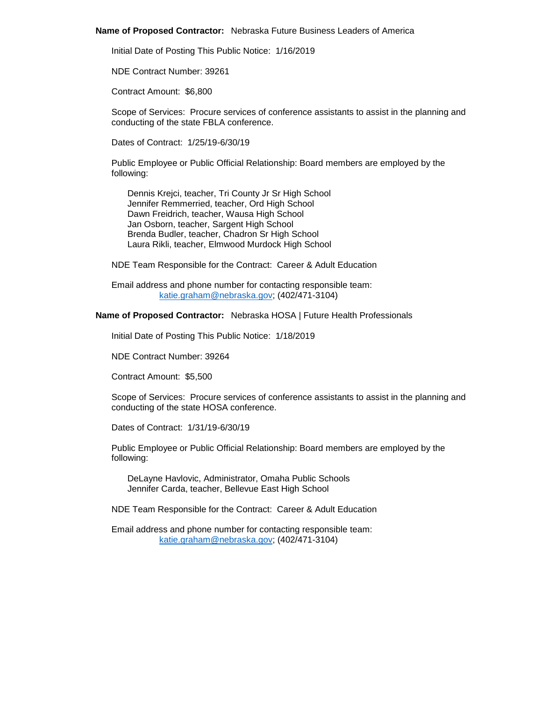#### **Name of Proposed Contractor:** Nebraska Future Business Leaders of America

Initial Date of Posting This Public Notice: 1/16/2019

NDE Contract Number: 39261

Contract Amount: \$6,800

Scope of Services: Procure services of conference assistants to assist in the planning and conducting of the state FBLA conference.

Dates of Contract: 1/25/19-6/30/19

Public Employee or Public Official Relationship: Board members are employed by the following:

Dennis Krejci, teacher, Tri County Jr Sr High School Jennifer Remmerried, teacher, Ord High School Dawn Freidrich, teacher, Wausa High School Jan Osborn, teacher, Sargent High School Brenda Budler, teacher, Chadron Sr High School Laura Rikli, teacher, Elmwood Murdock High School

NDE Team Responsible for the Contract: Career & Adult Education

Email address and phone number for contacting responsible team: [katie.graham@nebraska.gov;](mailto:katie.graham@nebraska.gov) (402/471-3104)

# **Name of Proposed Contractor:** Nebraska HOSA | Future Health Professionals

Initial Date of Posting This Public Notice: 1/18/2019

NDE Contract Number: 39264

Contract Amount: \$5,500

Scope of Services: Procure services of conference assistants to assist in the planning and conducting of the state HOSA conference.

Dates of Contract: 1/31/19-6/30/19

Public Employee or Public Official Relationship: Board members are employed by the following:

DeLayne Havlovic, Administrator, Omaha Public Schools Jennifer Carda, teacher, Bellevue East High School

NDE Team Responsible for the Contract: Career & Adult Education

Email address and phone number for contacting responsible team: [katie.graham@nebraska.gov;](mailto:katie.graham@nebraska.gov) (402/471-3104)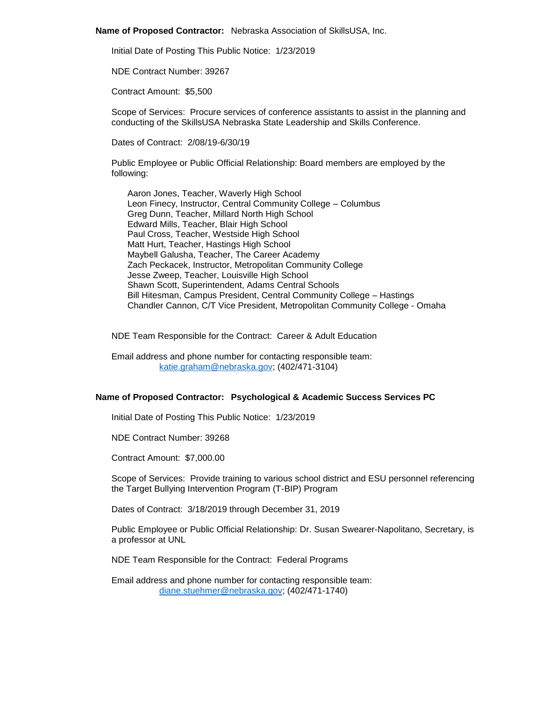**Name of Proposed Contractor:** Nebraska Association of SkillsUSA, Inc.

Initial Date of Posting This Public Notice: 1/23/2019

NDE Contract Number: 39267

Contract Amount: \$5,500

Scope of Services: Procure services of conference assistants to assist in the planning and conducting of the SkillsUSA Nebraska State Leadership and Skills Conference.

Dates of Contract: 2/08/19-6/30/19

Public Employee or Public Official Relationship: Board members are employed by the following:

Aaron Jones, Teacher, Waverly High School Leon Finecy, Instructor, Central Community College – Columbus Greg Dunn, Teacher, Millard North High School Edward Mills, Teacher, Blair High School Paul Cross, Teacher, Westside High School Matt Hurt, Teacher, Hastings High School Maybell Galusha, Teacher, The Career Academy Zach Peckacek, Instructor, Metropolitan Community College Jesse Zweep, Teacher, Louisville High School Shawn Scott, Superintendent, Adams Central Schools Bill Hitesman, Campus President, Central Community College – Hastings Chandler Cannon, C/T Vice President, Metropolitan Community College - Omaha

NDE Team Responsible for the Contract: Career & Adult Education

Email address and phone number for contacting responsible team: [katie.graham@nebraska.gov;](mailto:katie.graham@nebraska.gov) (402/471-3104)

### **Name of Proposed Contractor: Psychological & Academic Success Services PC**

Initial Date of Posting This Public Notice: 1/23/2019

NDE Contract Number: 39268

Contract Amount: \$7,000.00

Scope of Services: Provide training to various school district and ESU personnel referencing the Target Bullying Intervention Program (T-BIP) Program

Dates of Contract: 3/18/2019 through December 31, 2019

Public Employee or Public Official Relationship: Dr. Susan Swearer-Napolitano, Secretary, is a professor at UNL

NDE Team Responsible for the Contract: Federal Programs

Email address and phone number for contacting responsible team: [diane.stuehmer@nebraska.gov;](mailto:diane.stuehmer@nebraska.gov) (402/471-1740)